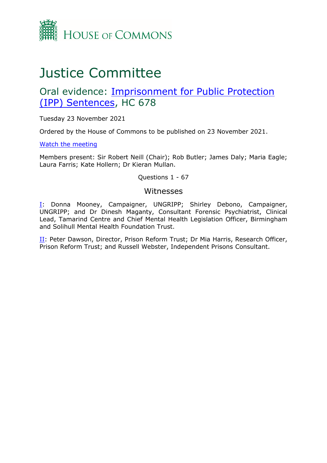

# Justice Committee

# Oral evidence: [Imprisonment](https://committees.parliament.uk/work/1509/imprisonment-for-public-protection-ipp-sentences/) [for](https://committees.parliament.uk/work/1509/imprisonment-for-public-protection-ipp-sentences/) [Public](https://committees.parliament.uk/work/1509/imprisonment-for-public-protection-ipp-sentences/) [Protection](https://committees.parliament.uk/work/1509/imprisonment-for-public-protection-ipp-sentences/) [\(IPP\)](https://committees.parliament.uk/work/1509/imprisonment-for-public-protection-ipp-sentences/) [Sentences](https://committees.parliament.uk/work/1509/imprisonment-for-public-protection-ipp-sentences/), HC 678

Tuesday 23 November 2021

Ordered by the House of Commons to be published on 23 November 2021.

[Watch](https://www.parliamentlive.tv/Event/Index/04bc7bd0-f5b9-40f4-b086-b1ef0099e1c7) [the](https://www.parliamentlive.tv/Event/Index/04bc7bd0-f5b9-40f4-b086-b1ef0099e1c7) [meeting](https://www.parliamentlive.tv/Event/Index/04bc7bd0-f5b9-40f4-b086-b1ef0099e1c7)

Members present: Sir Robert Neill (Chair); Rob Butler; James Daly; Maria Eagle; Laura Farris; Kate Hollern; Dr Kieran Mullan.

Questions 1 - 67

# Witnesses

[I:](#page-1-0) Donna Mooney, Campaigner, UNGRIPP; Shirley Debono, Campaigner, UNGRIPP; and Dr Dinesh Maganty, Consultant Forensic Psychiatrist, Clinical Lead, Tamarind Centre and Chief Mental Health Legislation Officer, Birmingham and Solihull Mental Health Foundation Trust.

[II](#page-1-0): Peter Dawson, Director, Prison Reform Trust; Dr Mia Harris, Research Officer, Prison Reform Trust; and Russell Webster, Independent Prisons Consultant.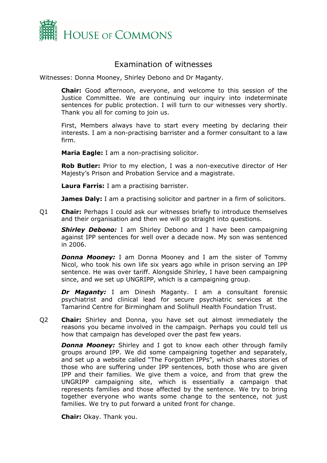

# <span id="page-1-0"></span>Examination of witnesses

Witnesses: Donna Mooney, Shirley Debono and Dr Maganty.

**Chair:** Good afternoon, everyone, and welcome to this session of the Justice Committee. We are continuing our inquiry into indeterminate sentences for public protection. I will turn to our witnesses very shortly. Thank you all for coming to join us.

First, Members always have to start every meeting by declaring their interests. I am a non-practising barrister and a former consultant to a law firm.

**Maria Eagle:** I am a non-practising solicitor.

**Rob Butler:** Prior to my election, I was a non-executive director of Her Majesty's Prison and Probation Service and a magistrate.

**Laura Farris:** I am a practising barrister.

**James Daly:** I am a practising solicitor and partner in a firm of solicitors.

Q1 **Chair:** Perhaps I could ask our witnesses briefly to introduce themselves and their organisation and then we will go straight into questions.

*Shirley Debono:* I am Shirley Debono and I have been campaigning against IPP sentences for well over a decade now. My son was sentenced in 2006.

*Donna Mooney:* I am Donna Mooney and I am the sister of Tommy Nicol, who took his own life six years ago while in prison serving an IPP sentence. He was over tariff. Alongside Shirley, I have been campaigning since, and we set up UNGRIPP, which is a campaigning group.

*Dr Maganty:* I am Dinesh Maganty. I am a consultant forensic psychiatrist and clinical lead for secure psychiatric services at the Tamarind Centre for Birmingham and Solihull Health Foundation Trust.

Q2 **Chair:** Shirley and Donna, you have set out almost immediately the reasons you became involved in the campaign. Perhaps you could tell us how that campaign has developed over the past few years.

*Donna Mooney:* Shirley and I got to know each other through family groups around IPP. We did some campaigning together and separately, and set up a website called "The Forgotten IPPs", which shares stories of those who are suffering under IPP sentences, both those who are given IPP and their families. We give them a voice, and from that grew the UNGRIPP campaigning site, which is essentially a campaign that represents families and those affected by the sentence. We try to bring together everyone who wants some change to the sentence, not just families. We try to put forward a united front for change.

**Chair:** Okay. Thank you.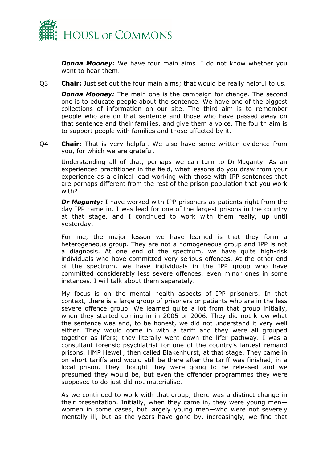

*Donna Mooney:* We have four main aims. I do not know whether you want to hear them.

Q3 **Chair:** Just set out the four main aims; that would be really helpful to us.

*Donna Mooney:* The main one is the campaign for change. The second one is to educate people about the sentence. We have one of the biggest collections of information on our site. The third aim is to remember people who are on that sentence and those who have passed away on that sentence and their families, and give them a voice. The fourth aim is to support people with families and those affected by it.

Q4 **Chair:** That is very helpful. We also have some written evidence from you, for which we are grateful.

Understanding all of that, perhaps we can turn to Dr Maganty. As an experienced practitioner in the field, what lessons do you draw from your experience as a clinical lead working with those with IPP sentences that are perhaps different from the rest of the prison population that you work with?

*Dr Maganty:* I have worked with IPP prisoners as patients right from the day IPP came in. I was lead for one of the largest prisons in the country at that stage, and I continued to work with them really, up until yesterday.

For me, the major lesson we have learned is that they form a heterogeneous group. They are not a homogeneous group and IPP is not a diagnosis. At one end of the spectrum, we have quite high-risk individuals who have committed very serious offences. At the other end of the spectrum, we have individuals in the IPP group who have committed considerably less severe offences, even minor ones in some instances. I will talk about them separately.

My focus is on the mental health aspects of IPP prisoners. In that context, there is a large group of prisoners or patients who are in the less severe offence group. We learned quite a lot from that group initially, when they started coming in in 2005 or 2006. They did not know what the sentence was and, to be honest, we did not understand it very well either. They would come in with a tariff and they were all grouped together as lifers; they literally went down the lifer pathway. I was a consultant forensic psychiatrist for one of the country's largest remand prisons, HMP Hewell, then called Blakenhurst, at that stage. They came in on short tariffs and would still be there after the tariff was finished, in a local prison. They thought they were going to be released and we presumed they would be, but even the offender programmes they were supposed to do just did not materialise.

As we continued to work with that group, there was a distinct change in their presentation. Initially, when they came in, they were young men women in some cases, but largely young men—who were not severely mentally ill, but as the years have gone by, increasingly, we find that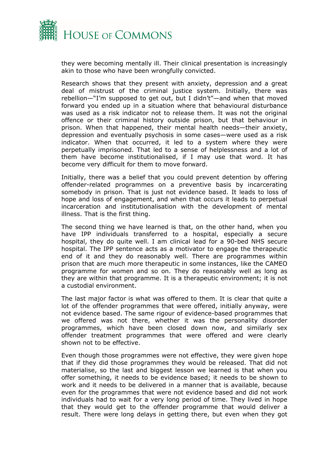

they were becoming mentally ill. Their clinical presentation is increasingly akin to those who have been wrongfully convicted.

Research shows that they present with anxiety, depression and a great deal of mistrust of the criminal justice system. Initially, there was rebellion—"I'm supposed to get out, but I didn't"—and when that moved forward you ended up in a situation where that behavioural disturbance was used as a risk indicator not to release them. It was not the original offence or their criminal history outside prison, but that behaviour in prison. When that happened, their mental health needs—their anxiety, depression and eventually psychosis in some cases—were used as a risk indicator. When that occurred, it led to a system where they were perpetually imprisoned. That led to a sense of helplessness and a lot of them have become institutionalised, if I may use that word. It has become very difficult for them to move forward.

Initially, there was a belief that you could prevent detention by offering offender-related programmes on a preventive basis by incarcerating somebody in prison. That is just not evidence based. It leads to loss of hope and loss of engagement, and when that occurs it leads to perpetual incarceration and institutionalisation with the development of mental illness. That is the first thing.

The second thing we have learned is that, on the other hand, when you have IPP individuals transferred to a hospital, especially a secure hospital, they do quite well. I am clinical lead for a 90-bed NHS secure hospital. The IPP sentence acts as a motivator to engage the therapeutic end of it and they do reasonably well. There are programmes within prison that are much more therapeutic in some instances, like the CAMEO programme for women and so on. They do reasonably well as long as they are within that programme. It is a therapeutic environment; it is not a custodial environment.

The last major factor is what was offered to them. It is clear that quite a lot of the offender programmes that were offered, initially anyway, were not evidence based. The same rigour of evidence-based programmes that we offered was not there, whether it was the personality disorder programmes, which have been closed down now, and similarly sex offender treatment programmes that were offered and were clearly shown not to be effective.

Even though those programmes were not effective, they were given hope that if they did those programmes they would be released. That did not materialise, so the last and biggest lesson we learned is that when you offer something, it needs to be evidence based; it needs to be shown to work and it needs to be delivered in a manner that is available, because even for the programmes that were not evidence based and did not work individuals had to wait for a very long period of time. They lived in hope that they would get to the offender programme that would deliver a result. There were long delays in getting there, but even when they got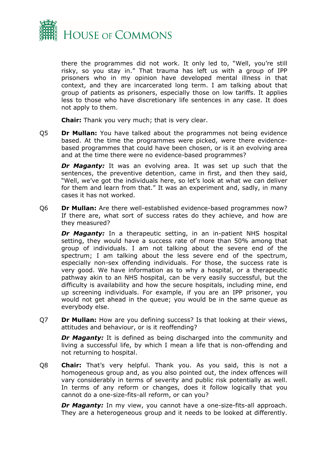

there the programmes did not work. It only led to, "Well, you're still risky, so you stay in." That trauma has left us with a group of IPP prisoners who in my opinion have developed mental illness in that context, and they are incarcerated long term. I am talking about that group of patients as prisoners, especially those on low tariffs. It applies less to those who have discretionary life sentences in any case. It does not apply to them.

**Chair:** Thank you very much; that is very clear.

Q5 **Dr Mullan:** You have talked about the programmes not being evidence based. At the time the programmes were picked, were there evidencebased programmes that could have been chosen, or is it an evolving area and at the time there were no evidence-based programmes?

*Dr Maganty:* It was an evolving area. It was set up such that the sentences, the preventive detention, came in first, and then they said, "Well, we've got the individuals here, so let's look at what we can deliver for them and learn from that." It was an experiment and, sadly, in many cases it has not worked.

Q6 **Dr Mullan:** Are there well-established evidence-based programmes now? If there are, what sort of success rates do they achieve, and how are they measured?

*Dr Maganty:* In a therapeutic setting, in an in-patient NHS hospital setting, they would have a success rate of more than 50% among that group of individuals. I am not talking about the severe end of the spectrum; I am talking about the less severe end of the spectrum, especially non-sex offending individuals. For those, the success rate is very good. We have information as to why a hospital, or a therapeutic pathway akin to an NHS hospital, can be very easily successful, but the difficulty is availability and how the secure hospitals, including mine, end up screening individuals. For example, if you are an IPP prisoner, you would not get ahead in the queue; you would be in the same queue as everybody else.

Q7 **Dr Mullan:** How are you defining success? Is that looking at their views, attitudes and behaviour, or is it reoffending?

*Dr Maganty:* It is defined as being discharged into the community and living a successful life, by which I mean a life that is non-offending and not returning to hospital.

Q8 **Chair:** That's very helpful. Thank you. As you said, this is not a homogeneous group and, as you also pointed out, the index offences will vary considerably in terms of severity and public risk potentially as well. In terms of any reform or changes, does it follow logically that you cannot do a one-size-fits-all reform, or can you?

*Dr Maganty:* In my view, you cannot have a one-size-fits-all approach. They are a heterogeneous group and it needs to be looked at differently.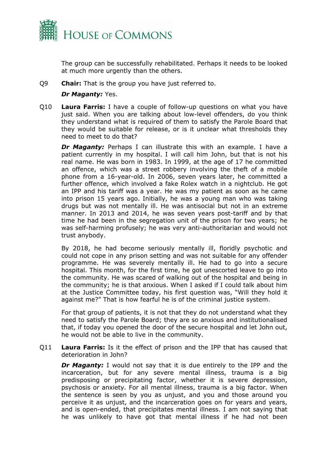

The group can be successfully rehabilitated. Perhaps it needs to be looked at much more urgently than the others.

Q9 **Chair:** That is the group you have just referred to.

#### *Dr Maganty:* Yes.

Q10 **Laura Farris:** I have a couple of follow-up questions on what you have just said. When you are talking about low-level offenders, do you think they understand what is required of them to satisfy the Parole Board that they would be suitable for release, or is it unclear what thresholds they need to meet to do that?

*Dr Maganty:* Perhaps I can illustrate this with an example. I have a patient currently in my hospital. I will call him John, but that is not his real name. He was born in 1983. In 1999, at the age of 17 he committed an offence, which was a street robbery involving the theft of a mobile phone from a 16-year-old. In 2006, seven years later, he committed a further offence, which involved a fake Rolex watch in a nightclub. He got an IPP and his tariff was a year. He was my patient as soon as he came into prison 15 years ago. Initially, he was a young man who was taking drugs but was not mentally ill. He was antisocial but not in an extreme manner. In 2013 and 2014, he was seven years post-tariff and by that time he had been in the segregation unit of the prison for two years; he was self-harming profusely; he was very anti-authoritarian and would not trust anybody.

By 2018, he had become seriously mentally ill, floridly psychotic and could not cope in any prison setting and was not suitable for any offender programme. He was severely mentally ill. He had to go into a secure hospital. This month, for the first time, he got unescorted leave to go into the community. He was scared of walking out of the hospital and being in the community; he is that anxious. When I asked if I could talk about him at the Justice Committee today, his first question was, "Will they hold it against me?" That is how fearful he is of the criminal justice system.

For that group of patients, it is not that they do not understand what they need to satisfy the Parole Board; they are so anxious and institutionalised that, if today you opened the door of the secure hospital and let John out, he would not be able to live in the community.

Q11 **Laura Farris:** Is it the effect of prison and the IPP that has caused that deterioration in John?

*Dr Maganty:* I would not say that it is due entirely to the IPP and the incarceration, but for any severe mental illness, trauma is a big predisposing or precipitating factor, whether it is severe depression, psychosis or anxiety. For all mental illness, trauma is a big factor. When the sentence is seen by you as unjust, and you and those around you perceive it as unjust, and the incarceration goes on for years and years, and is open-ended, that precipitates mental illness. I am not saying that he was unlikely to have got that mental illness if he had not been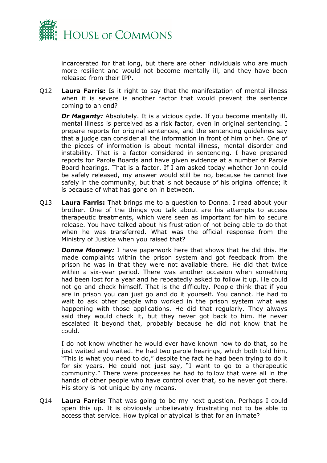

incarcerated for that long, but there are other individuals who are much more resilient and would not become mentally ill, and they have been released from their IPP.

Q12 **Laura Farris:** Is it right to say that the manifestation of mental illness when it is severe is another factor that would prevent the sentence coming to an end?

*Dr Maganty:* Absolutely. It is a vicious cycle. If you become mentally ill, mental illness is perceived as a risk factor, even in original sentencing. I prepare reports for original sentences, and the sentencing guidelines say that a judge can consider all the information in front of him or her. One of the pieces of information is about mental illness, mental disorder and instability. That is a factor considered in sentencing. I have prepared reports for Parole Boards and have given evidence at a number of Parole Board hearings. That is a factor. If I am asked today whether John could be safely released, my answer would still be no, because he cannot live safely in the community, but that is not because of his original offence; it is because of what has gone on in between.

Q13 **Laura Farris:** That brings me to a question to Donna. I read about your brother. One of the things you talk about are his attempts to access therapeutic treatments, which were seen as important for him to secure release. You have talked about his frustration of not being able to do that when he was transferred. What was the official response from the Ministry of Justice when you raised that?

*Donna Mooney:* I have paperwork here that shows that he did this. He made complaints within the prison system and got feedback from the prison he was in that they were not available there. He did that twice within a six-year period. There was another occasion when something had been lost for a year and he repeatedly asked to follow it up. He could not go and check himself. That is the difficulty. People think that if you are in prison you can just go and do it yourself. You cannot. He had to wait to ask other people who worked in the prison system what was happening with those applications. He did that regularly. They always said they would check it, but they never got back to him. He never escalated it beyond that, probably because he did not know that he could.

I do not know whether he would ever have known how to do that, so he just waited and waited. He had two parole hearings, which both told him, "This is what you need to do," despite the fact he had been trying to do it for six years. He could not just say, "I want to go to a therapeutic community." There were processes he had to follow that were all in the hands of other people who have control over that, so he never got there. His story is not unique by any means.

Q14 **Laura Farris:** That was going to be my next question. Perhaps I could open this up. It is obviously unbelievably frustrating not to be able to access that service. How typical or atypical is that for an inmate?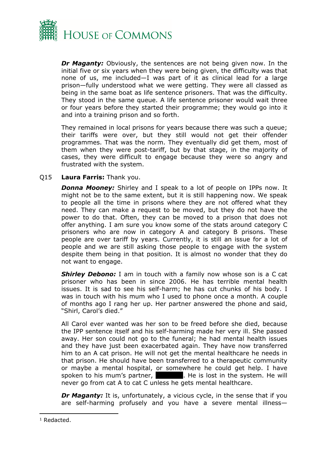

*Dr Maganty:* Obviously, the sentences are not being given now. In the initial five or six years when they were being given, the difficulty was that none of us, me included—I was part of it as clinical lead for a large prison—fully understood what we were getting. They were all classed as being in the same boat as life sentence prisoners. That was the difficulty. They stood in the same queue. A life sentence prisoner would wait three or four years before they started their programme; they would go into it and into a training prison and so forth.

They remained in local prisons for years because there was such a queue; their tariffs were over, but they still would not get their offender programmes. That was the norm. They eventually did get them, most of them when they were post-tariff, but by that stage, in the majority of cases, they were difficult to engage because they were so angry and frustrated with the system.

#### Q15 **Laura Farris:** Thank you.

*Donna Mooney:* Shirley and I speak to a lot of people on IPPs now. It might not be to the same extent, but it is still happening now. We speak to people all the time in prisons where they are not offered what they need. They can make a request to be moved, but they do not have the power to do that. Often, they can be moved to a prison that does not offer anything. I am sure you know some of the stats around category C prisoners who are now in category A and category B prisons. These people are over tariff by years. Currently, it is still an issue for a lot of people and we are still asking those people to engage with the system despite them being in that position. It is almost no wonder that they do not want to engage.

**Shirley Debono:** I am in touch with a family now whose son is a C cat prisoner who has been in since 2006. He has terrible mental health issues. It is sad to see his self-harm; he has cut chunks of his body. I was in touch with his mum who I used to phone once a month. A couple of months ago I rang her up. Her partner answered the phone and said, "Shirl, Carol's died."

All Carol ever wanted was her son to be freed before she died, because the IPP sentence itself and his self-harming made her very ill. She passed away. Her son could not go to the funeral; he had mental health issues and they have just been exacerbated again. They have now transferred him to an A cat prison. He will not get the mental healthcare he needs in that prison. He should have been transferred to a therapeutic community or maybe a mental hospital, or somewhere he could get help. I have spoken to his mum's partner,  $\frac{1}{1}$ . He is lost in the system. He will never go from cat A to cat C unless he gets mental healthcare.

*Dr Maganty:* It is, unfortunately, a vicious cycle, in the sense that if you are self-harming profusely and you have a severe mental illness—

<sup>1</sup> Redacted.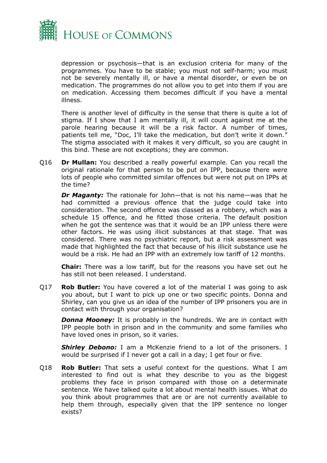

depression or psychosis—that is an exclusion criteria for many of the programmes. You have to be stable; you must not self-harm; you must not be severely mentally ill, or have a mental disorder, or even be on medication. The programmes do not allow you to get into them if you are on medication. Accessing them becomes difficult if you have a mental illness.

There is another level of difficulty in the sense that there is quite a lot of stigma. If I show that I am mentally ill, it will count against me at the parole hearing because it will be a risk factor. A number of times, patients tell me, "Doc, I'll take the medication, but don't write it down." The stigma associated with it makes it very difficult, so you are caught in this bind. These are not exceptions; they are common.

Q16 **Dr Mullan:** You described a really powerful example. Can you recall the original rationale for that person to be put on IPP, because there were lots of people who committed similar offences but were not put on IPPs at the time?

*Dr Maganty:* The rationale for John—that is not his name—was that he had committed a previous offence that the judge could take into consideration. The second offence was classed as a robbery, which was a schedule 15 offence, and he fitted those criteria. The default position when he got the sentence was that it would be an IPP unless there were other factors. He was using illicit substances at that stage. That was considered. There was no psychiatric report, but a risk assessment was made that highlighted the fact that because of his illicit substance use he would be a risk. He had an IPP with an extremely low tariff of 12 months.

**Chair:** There was a low tariff, but for the reasons you have set out he has still not been released. I understand.

Q17 **Rob Butler:** You have covered a lot of the material I was going to ask you about, but I want to pick up one or two specific points. Donna and Shirley, can you give us an idea of the number of IPP prisoners you are in contact with through your organisation?

*Donna Mooney:* It is probably in the hundreds. We are in contact with IPP people both in prison and in the community and some families who have loved ones in prison, so it varies.

**Shirley Debono:** I am a McKenzie friend to a lot of the prisoners. I would be surprised if I never got a call in a day; I get four or five.

Q18 **Rob Butler:** That sets a useful context for the questions. What I am interested to find out is what they describe to you as the biggest problems they face in prison compared with those on a determinate sentence. We have talked quite a lot about mental health issues. What do you think about programmes that are or are not currently available to help them through, especially given that the IPP sentence no longer exists?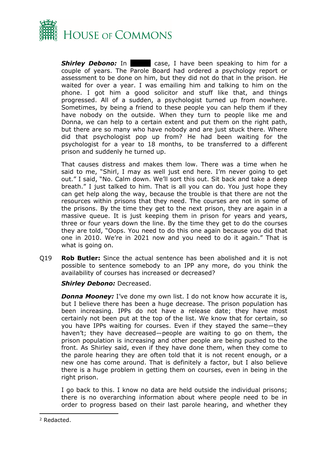

**Shirley Debono:** In **xxxxxxx** case, I have been speaking to him for a couple of years. The Parole Board had ordered a psychology report or assessment to be done on him, but they did not do that in the prison. He waited for over a year. I was emailing him and talking to him on the phone. I got him a good solicitor and stuff like that, and things progressed. All of a sudden, a psychologist turned up from nowhere. Sometimes, by being a friend to these people you can help them if they have nobody on the outside. When they turn to people like me and Donna, we can help to a certain extent and put them on the right path, but there are so many who have nobody and are just stuck there. Where did that psychologist pop up from? He had been waiting for the psychologist for a year to 18 months, to be transferred to a different prison and suddenly he turned up.

That causes distress and makes them low. There was a time when he said to me, "Shirl, I may as well just end here. I'm never going to get out." I said, "No. Calm down. We'll sort this out. Sit back and take a deep breath." I just talked to him. That is all you can do. You just hope they can get help along the way, because the trouble is that there are not the resources within prisons that they need. The courses are not in some of the prisons. By the time they get to the next prison, they are again in a massive queue. It is just keeping them in prison for years and years, three or four years down the line. By the time they get to do the courses they are told, "Oops. You need to do this one again because you did that one in 2010. We're in 2021 now and you need to do it again." That is what is going on.

Q19 **Rob Butler:** Since the actual sentence has been abolished and it is not possible to sentence somebody to an IPP any more, do you think the availability of courses has increased or decreased?

*Shirley Debono:* Decreased.

*Donna Mooney:* I've done my own list. I do not know how accurate it is, but I believe there has been a huge decrease. The prison population has been increasing. IPPs do not have a release date; they have most certainly not been put at the top of the list. We know that for certain, so you have IPPs waiting for courses. Even if they stayed the same—they haven't; they have decreased—people are waiting to go on them, the prison population is increasing and other people are being pushed to the front. As Shirley said, even if they have done them, when they come to the parole hearing they are often told that it is not recent enough, or a new one has come around. That is definitely a factor, but I also believe there is a huge problem in getting them on courses, even in being in the right prison.

I go back to this. I know no data are held outside the individual prisons; there is no overarching information about where people need to be in order to progress based on their last parole hearing, and whether they

<sup>2</sup> Redacted.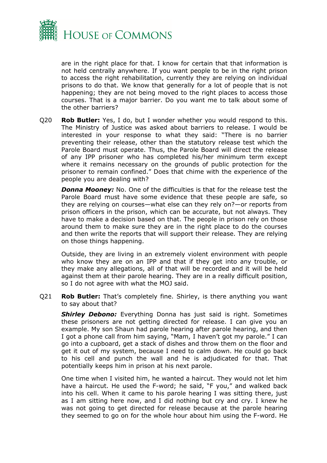

are in the right place for that. I know for certain that that information is not held centrally anywhere. If you want people to be in the right prison to access the right rehabilitation, currently they are relying on individual prisons to do that. We know that generally for a lot of people that is not happening; they are not being moved to the right places to access those courses. That is a major barrier. Do you want me to talk about some of the other barriers?

Q20 **Rob Butler:** Yes, I do, but I wonder whether you would respond to this. The Ministry of Justice was asked about barriers to release. I would be interested in your response to what they said: "There is no barrier preventing their release, other than the statutory release test which the Parole Board must operate. Thus, the Parole Board will direct the release of any IPP prisoner who has completed his/her minimum term except where it remains necessary on the grounds of public protection for the prisoner to remain confined." Does that chime with the experience of the people you are dealing with?

*Donna Mooney:* No. One of the difficulties is that for the release test the Parole Board must have some evidence that these people are safe, so they are relying on courses—what else can they rely on?—or reports from prison officers in the prison, which can be accurate, but not always. They have to make a decision based on that. The people in prison rely on those around them to make sure they are in the right place to do the courses and then write the reports that will support their release. They are relying on those things happening.

Outside, they are living in an extremely violent environment with people who know they are on an IPP and that if they get into any trouble, or they make any allegations, all of that will be recorded and it will be held against them at their parole hearing. They are in a really difficult position, so I do not agree with what the MOJ said.

Q21 **Rob Butler:** That's completely fine. Shirley, is there anything you want to say about that?

**Shirley Debono:** Everything Donna has just said is right. Sometimes these prisoners are not getting directed for release. I can give you an example. My son Shaun had parole hearing after parole hearing, and then I got a phone call from him saying, "Mam, I haven't got my parole." I can go into a cupboard, get a stack of dishes and throw them on the floor and get it out of my system, because I need to calm down. He could go back to his cell and punch the wall and he is adjudicated for that. That potentially keeps him in prison at his next parole.

One time when I visited him, he wanted a haircut. They would not let him have a haircut. He used the F-word; he said, "F you," and walked back into his cell. When it came to his parole hearing I was sitting there, just as I am sitting here now, and I did nothing but cry and cry. I knew he was not going to get directed for release because at the parole hearing they seemed to go on for the whole hour about him using the F-word. He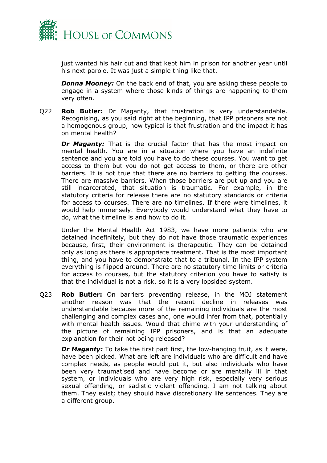

just wanted his hair cut and that kept him in prison for another year until his next parole. It was just a simple thing like that.

*Donna Mooney:* On the back end of that, you are asking these people to engage in a system where those kinds of things are happening to them very often.

Q22 **Rob Butler:** Dr Maganty, that frustration is very understandable. Recognising, as you said right at the beginning, that IPP prisoners are not a homogenous group, how typical is that frustration and the impact it has on mental health?

**Dr Maganty:** That is the crucial factor that has the most impact on mental health. You are in a situation where you have an indefinite sentence and you are told you have to do these courses. You want to get access to them but you do not get access to them, or there are other barriers. It is not true that there are no barriers to getting the courses. There are massive barriers. When those barriers are put up and you are still incarcerated, that situation is traumatic. For example, in the statutory criteria for release there are no statutory standards or criteria for access to courses. There are no timelines. If there were timelines, it would help immensely. Everybody would understand what they have to do, what the timeline is and how to do it.

Under the Mental Health Act 1983, we have more patients who are detained indefinitely, but they do not have those traumatic experiences because, first, their environment is therapeutic. They can be detained only as long as there is appropriate treatment. That is the most important thing, and you have to demonstrate that to a tribunal. In the IPP system everything is flipped around. There are no statutory time limits or criteria for access to courses, but the statutory criterion you have to satisfy is that the individual is not a risk, so it is a very lopsided system.

Q23 **Rob Butler:** On barriers preventing release, in the MOJ statement another reason was that the recent decline in releases was understandable because more of the remaining individuals are the most challenging and complex cases and, one would infer from that, potentially with mental health issues. Would that chime with your understanding of the picture of remaining IPP prisoners, and is that an adequate explanation for their not being released?

*Dr Maganty:* To take the first part first, the low-hanging fruit, as it were, have been picked. What are left are individuals who are difficult and have complex needs, as people would put it, but also individuals who have been very traumatised and have become or are mentally ill in that system, or individuals who are very high risk, especially very serious sexual offending, or sadistic violent offending. I am not talking about them. They exist; they should have discretionary life sentences. They are a different group.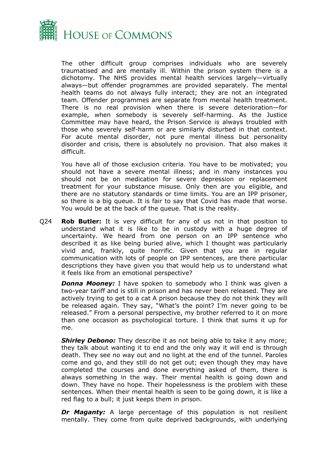

The other difficult group comprises individuals who are severely traumatised and are mentally ill. Within the prison system there is a dichotomy. The NHS provides mental health services largely—virtually always—but offender programmes are provided separately. The mental health teams do not always fully interact; they are not an integrated team. Offender programmes are separate from mental health treatment. There is no real provision when there is severe deterioration—for example, when somebody is severely self-harming. As the Justice Committee may have heard, the Prison Service is always troubled with those who severely self-harm or are similarly disturbed in that context. For acute mental disorder, not pure mental illness but personality disorder and crisis, there is absolutely no provision. That also makes it difficult.

You have all of those exclusion criteria. You have to be motivated; you should not have a severe mental illness; and in many instances you should not be on medication for severe depression or replacement treatment for your substance misuse. Only then are you eligible, and there are no statutory standards or time limits. You are an IPP prisoner, so there is a big queue. It is fair to say that Covid has made that worse. You would be at the back of the queue. That is the reality.

Q24 **Rob Butler:** It is very difficult for any of us not in that position to understand what it is like to be in custody with a huge degree of uncertainty. We heard from one person on an IPP sentence who described it as like being buried alive, which I thought was particularly vivid and, frankly, quite horrific. Given that you are in regular communication with lots of people on IPP sentences, are there particular descriptions they have given you that would help us to understand what it feels like from an emotional perspective?

*Donna Mooney:* I have spoken to somebody who I think was given a two-year tariff and is still in prison and has never been released. They are actively trying to get to a cat A prison because they do not think they will be released again. They say, "What's the point? I'm never going to be released." From a personal perspective, my brother referred to it on more than one occasion as psychological torture. I think that sums it up for me.

**Shirley Debono:** They describe it as not being able to take it any more; they talk about wanting it to end and the only way it will end is through death. They see no way out and no light at the end of the tunnel. Paroles come and go, and they still do not get out; even though they may have completed the courses and done everything asked of them, there is always something in the way. Their mental health is going down and down. They have no hope. Their hopelessness is the problem with these sentences. When their mental health is seen to be going down, it is like a red flag to a bull; it just keeps them in prison.

*Dr Maganty:* A large percentage of this population is not resilient mentally. They come from quite deprived backgrounds, with underlying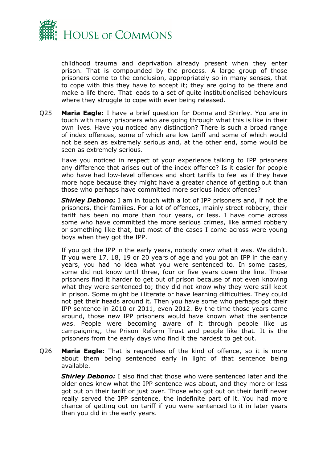

childhood trauma and deprivation already present when they enter prison. That is compounded by the process. A large group of those prisoners come to the conclusion, appropriately so in many senses, that to cope with this they have to accept it; they are going to be there and make a life there. That leads to a set of quite institutionalised behaviours where they struggle to cope with ever being released.

Q25 **Maria Eagle:** I have a brief question for Donna and Shirley. You are in touch with many prisoners who are going through what this is like in their own lives. Have you noticed any distinction? There is such a broad range of index offences, some of which are low tariff and some of which would not be seen as extremely serious and, at the other end, some would be seen as extremely serious.

Have you noticed in respect of your experience talking to IPP prisoners any difference that arises out of the index offence? Is it easier for people who have had low-level offences and short tariffs to feel as if they have more hope because they might have a greater chance of getting out than those who perhaps have committed more serious index offences?

*Shirley Debono:* I am in touch with a lot of IPP prisoners and, if not the prisoners, their families. For a lot of offences, mainly street robbery, their tariff has been no more than four years, or less. I have come across some who have committed the more serious crimes, like armed robbery or something like that, but most of the cases I come across were young boys when they got the IPP.

If you got the IPP in the early years, nobody knew what it was. We didn't. If you were 17, 18, 19 or 20 years of age and you got an IPP in the early years, you had no idea what you were sentenced to. In some cases, some did not know until three, four or five years down the line. Those prisoners find it harder to get out of prison because of not even knowing what they were sentenced to; they did not know why they were still kept in prison. Some might be illiterate or have learning difficulties. They could not get their heads around it. Then you have some who perhaps got their IPP sentence in 2010 or 2011, even 2012. By the time those years came around, those new IPP prisoners would have known what the sentence was. People were becoming aware of it through people like us campaigning, the Prison Reform Trust and people like that. It is the prisoners from the early days who find it the hardest to get out.

Q26 **Maria Eagle:** That is regardless of the kind of offence, so it is more about them being sentenced early in light of that sentence being available.

*Shirley Debono:* I also find that those who were sentenced later and the older ones knew what the IPP sentence was about, and they more or less got out on their tariff or just over. Those who got out on their tariff never really served the IPP sentence, the indefinite part of it. You had more chance of getting out on tariff if you were sentenced to it in later years than you did in the early years.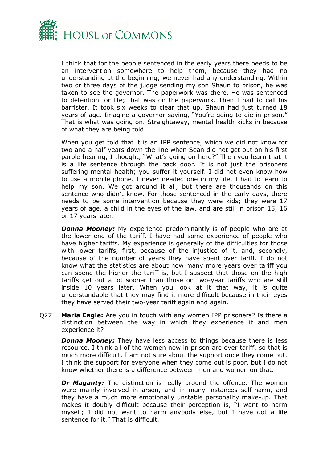

I think that for the people sentenced in the early years there needs to be an intervention somewhere to help them, because they had no understanding at the beginning; we never had any understanding. Within two or three days of the judge sending my son Shaun to prison, he was taken to see the governor. The paperwork was there. He was sentenced to detention for life; that was on the paperwork. Then I had to call his barrister. It took six weeks to clear that up. Shaun had just turned 18 years of age. Imagine a governor saying, "You're going to die in prison." That is what was going on. Straightaway, mental health kicks in because of what they are being told.

When you get told that it is an IPP sentence, which we did not know for two and a half years down the line when Sean did not get out on his first parole hearing, I thought, "What's going on here?" Then you learn that it is a life sentence through the back door. It is not just the prisoners suffering mental health; you suffer it yourself. I did not even know how to use a mobile phone. I never needed one in my life. I had to learn to help my son. We got around it all, but there are thousands on this sentence who didn't know. For those sentenced in the early days, there needs to be some intervention because they were kids; they were 17 years of age, a child in the eyes of the law, and are still in prison 15, 16 or 17 years later.

*Donna Mooney:* My experience predominantly is of people who are at the lower end of the tariff. I have had some experience of people who have higher tariffs. My experience is generally of the difficulties for those with lower tariffs, first, because of the injustice of it, and, secondly, because of the number of years they have spent over tariff. I do not know what the statistics are about how many more years over tariff you can spend the higher the tariff is, but I suspect that those on the high tariffs get out a lot sooner than those on two-year tariffs who are still inside 10 years later. When you look at it that way, it is quite understandable that they may find it more difficult because in their eyes they have served their two-year tariff again and again.

Q27 **Maria Eagle:** Are you in touch with any women IPP prisoners? Is there a distinction between the way in which they experience it and men experience it?

*Donna Mooney:* They have less access to things because there is less resource. I think all of the women now in prison are over tariff, so that is much more difficult. I am not sure about the support once they come out. I think the support for everyone when they come out is poor, but I do not know whether there is a difference between men and women on that.

*Dr Maganty:* The distinction is really around the offence. The women were mainly involved in arson, and in many instances self-harm, and they have a much more emotionally unstable personality make-up. That makes it doubly difficult because their perception is, "I want to harm myself; I did not want to harm anybody else, but I have got a life sentence for it." That is difficult.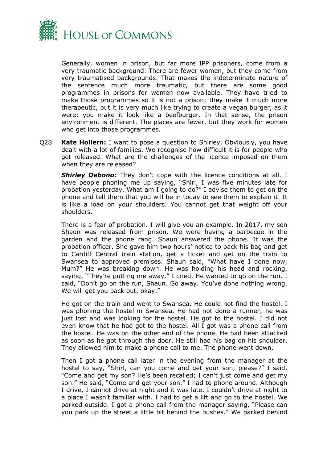

Generally, women in prison, but far more IPP prisoners, come from a very traumatic background. There are fewer women, but they come from very traumatised backgrounds. That makes the indeterminate nature of the sentence much more traumatic, but there are some good programmes in prisons for women now available. They have tried to make those programmes so it is not a prison; they make it much more therapeutic, but it is very much like trying to create a vegan burger, as it were; you make it look like a beefburger. In that sense, the prison environment is different. The places are fewer, but they work for women who get into those programmes.

Q28 **Kate Hollern:** I want to pose a question to Shirley. Obviously, you have dealt with a lot of families. We recognise how difficult it is for people who get released. What are the challenges of the licence imposed on them when they are released?

**Shirley Debono:** They don't cope with the licence conditions at all. I have people phoning me up saying, "Shirl, I was five minutes late for probation yesterday. What am I going to do?" I advise them to get on the phone and tell them that you will be in today to see them to explain it. It is like a load on your shoulders. You cannot get that weight off your shoulders.

There is a fear of probation. I will give you an example. In 2017, my son Shaun was released from prison. We were having a barbecue in the garden and the phone rang. Shaun answered the phone. It was the probation officer. She gave him two hours' notice to pack his bag and get to Cardiff Central train station, get a ticket and get on the train to Swansea to approved premises. Shaun said, "What have I done now, Mum?" He was breaking down. He was holding his head and rocking, saying, "They're putting me away." I cried. He wanted to go on the run. I said, "Don't go on the run, Shaun. Go away. You've done nothing wrong. We will get you back out, okay."

He got on the train and went to Swansea. He could not find the hostel. I was phoning the hostel in Swansea. He had not done a runner; he was just lost and was looking for the hostel. He got to the hostel. I did not even know that he had got to the hostel. All I got was a phone call from the hostel. He was on the other end of the phone. He had been attacked as soon as he got through the door. He still had his bag on his shoulder. They allowed him to make a phone call to me. The phone went down.

Then I got a phone call later in the evening from the manager at the hostel to say, "Shirl, can you come and get your son, please?" I said, "Come and get my son? He's been recalled; I can't just come and get my son." He said, "Come and get your son." I had to phone around. Although I drive, I cannot drive at night and it was late. I couldn't drive at night to a place I wasn't familiar with. I had to get a lift and go to the hostel. We parked outside. I got a phone call from the manager saying, "Please can you park up the street a little bit behind the bushes." We parked behind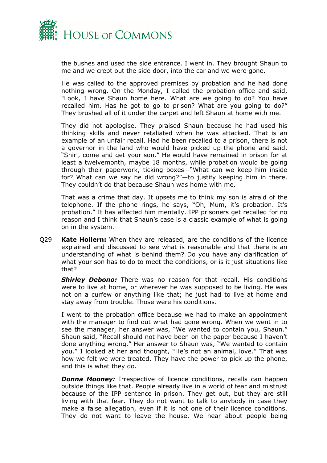

the bushes and used the side entrance. I went in. They brought Shaun to me and we crept out the side door, into the car and we were gone.

He was called to the approved premises by probation and he had done nothing wrong. On the Monday, I called the probation office and said, "Look, I have Shaun home here. What are we going to do? You have recalled him. Has he got to go to prison? What are you going to do?" They brushed all of it under the carpet and left Shaun at home with me.

They did not apologise. They praised Shaun because he had used his thinking skills and never retaliated when he was attacked. That is an example of an unfair recall. Had he been recalled to a prison, there is not a governor in the land who would have picked up the phone and said, "Shirl, come and get your son." He would have remained in prison for at least a twelvemonth, maybe 18 months, while probation would be going through their paperwork, ticking boxes—"What can we keep him inside for? What can we say he did wrong?"—to justify keeping him in there. They couldn't do that because Shaun was home with me.

That was a crime that day. It upsets me to think my son is afraid of the telephone. If the phone rings, he says, "Oh, Mum, it's probation. It's probation." It has affected him mentally. IPP prisoners get recalled for no reason and I think that Shaun's case is a classic example of what is going on in the system.

Q29 **Kate Hollern:** When they are released, are the conditions of the licence explained and discussed to see what is reasonable and that there is an understanding of what is behind them? Do you have any clarification of what your son has to do to meet the conditions, or is it just situations like that?

*Shirley Debono:* There was no reason for that recall. His conditions were to live at home, or wherever he was supposed to be living. He was not on a curfew or anything like that; he just had to live at home and stay away from trouble. Those were his conditions.

I went to the probation office because we had to make an appointment with the manager to find out what had gone wrong. When we went in to see the manager, her answer was, "We wanted to contain you, Shaun." Shaun said, "Recall should not have been on the paper because I haven't done anything wrong." Her answer to Shaun was, "We wanted to contain you." I looked at her and thought, "He's not an animal, love." That was how we felt we were treated. They have the power to pick up the phone, and this is what they do.

*Donna Mooney:* Irrespective of licence conditions, recalls can happen outside things like that. People already live in a world of fear and mistrust because of the IPP sentence in prison. They get out, but they are still living with that fear. They do not want to talk to anybody in case they make a false allegation, even if it is not one of their licence conditions. They do not want to leave the house. We hear about people being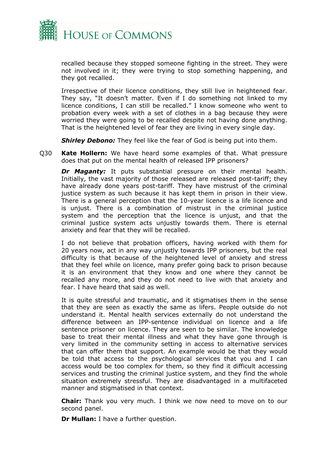

recalled because they stopped someone fighting in the street. They were not involved in it; they were trying to stop something happening, and they got recalled.

Irrespective of their licence conditions, they still live in heightened fear. They say, "It doesn't matter. Even if I do something not linked to my licence conditions, I can still be recalled." I know someone who went to probation every week with a set of clothes in a bag because they were worried they were going to be recalled despite not having done anything. That is the heightened level of fear they are living in every single day.

**Shirley Debono:** They feel like the fear of God is being put into them.

Q30 **Kate Hollern:** We have heard some examples of that. What pressure does that put on the mental health of released IPP prisoners?

*Dr Maganty:* It puts substantial pressure on their mental health. Initially, the vast majority of those released are released post-tariff; they have already done years post-tariff. They have mistrust of the criminal justice system as such because it has kept them in prison in their view. There is a general perception that the 10-year licence is a life licence and is unjust. There is a combination of mistrust in the criminal justice system and the perception that the licence is unjust, and that the criminal justice system acts unjustly towards them. There is eternal anxiety and fear that they will be recalled.

I do not believe that probation officers, having worked with them for 20 years now, act in any way unjustly towards IPP prisoners, but the real difficulty is that because of the heightened level of anxiety and stress that they feel while on licence, many prefer going back to prison because it is an environment that they know and one where they cannot be recalled any more, and they do not need to live with that anxiety and fear. I have heard that said as well.

It is quite stressful and traumatic, and it stigmatises them in the sense that they are seen as exactly the same as lifers. People outside do not understand it. Mental health services externally do not understand the difference between an IPP-sentence individual on licence and a life sentence prisoner on licence. They are seen to be similar. The knowledge base to treat their mental illness and what they have gone through is very limited in the community setting in access to alternative services that can offer them that support. An example would be that they would be told that access to the psychological services that you and I can access would be too complex for them, so they find it difficult accessing services and trusting the criminal justice system, and they find the whole situation extremely stressful. They are disadvantaged in a multifaceted manner and stigmatised in that context.

**Chair:** Thank you very much. I think we now need to move on to our second panel.

**Dr Mullan:** I have a further question.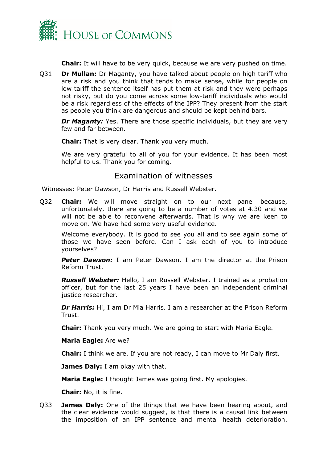

**Chair:** It will have to be very quick, because we are very pushed on time.

Q31 **Dr Mullan:** Dr Maganty, you have talked about people on high tariff who are a risk and you think that tends to make sense, while for people on low tariff the sentence itself has put them at risk and they were perhaps not risky, but do you come across some low-tariff individuals who would be a risk regardless of the effects of the IPP? They present from the start as people you think are dangerous and should be kept behind bars.

*Dr Maganty:* Yes. There are those specific individuals, but they are very few and far between.

**Chair:** That is very clear. Thank you very much.

We are very grateful to all of you for your evidence. It has been most helpful to us. Thank you for coming.

# Examination of witnesses

Witnesses: Peter Dawson, Dr Harris and Russell Webster.

Q32 **Chair:** We will move straight on to our next panel because, unfortunately, there are going to be a number of votes at 4.30 and we will not be able to reconvene afterwards. That is why we are keen to move on. We have had some very useful evidence.

Welcome everybody. It is good to see you all and to see again some of those we have seen before. Can I ask each of you to introduce yourselves?

*Peter Dawson:* I am Peter Dawson. I am the director at the Prison Reform Trust.

*Russell Webster:* Hello, I am Russell Webster. I trained as a probation officer, but for the last 25 years I have been an independent criminal justice researcher.

*Dr Harris:* Hi, I am Dr Mia Harris. I am a researcher at the Prison Reform Trust.

**Chair:** Thank you very much. We are going to start with Maria Eagle.

**Maria Eagle:** Are we?

**Chair:** I think we are. If you are not ready, I can move to Mr Daly first.

**James Daly:** I am okay with that.

**Maria Eagle:** I thought James was going first. My apologies.

**Chair:** No, it is fine.

Q33 **James Daly:** One of the things that we have been hearing about, and the clear evidence would suggest, is that there is a causal link between the imposition of an IPP sentence and mental health deterioration.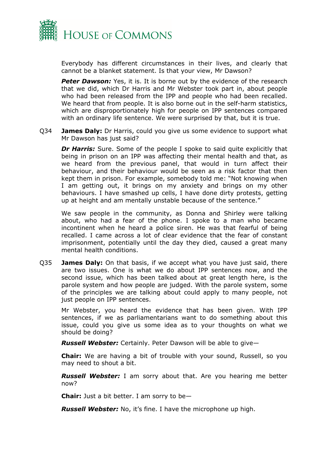

Everybody has different circumstances in their lives, and clearly that cannot be a blanket statement. Is that your view, Mr Dawson?

**Peter Dawson:** Yes, it is. It is borne out by the evidence of the research that we did, which Dr Harris and Mr Webster took part in, about people who had been released from the IPP and people who had been recalled. We heard that from people. It is also borne out in the self-harm statistics, which are disproportionately high for people on IPP sentences compared with an ordinary life sentence. We were surprised by that, but it is true.

Q34 **James Daly:** Dr Harris, could you give us some evidence to support what Mr Dawson has just said?

**Dr Harris:** Sure. Some of the people I spoke to said quite explicitly that being in prison on an IPP was affecting their mental health and that, as we heard from the previous panel, that would in turn affect their behaviour, and their behaviour would be seen as a risk factor that then kept them in prison. For example, somebody told me: "Not knowing when I am getting out, it brings on my anxiety and brings on my other behaviours. I have smashed up cells, I have done dirty protests, getting up at height and am mentally unstable because of the sentence."

We saw people in the community, as Donna and Shirley were talking about, who had a fear of the phone. I spoke to a man who became incontinent when he heard a police siren. He was that fearful of being recalled. I came across a lot of clear evidence that the fear of constant imprisonment, potentially until the day they died, caused a great many mental health conditions.

Q35 **James Daly:** On that basis, if we accept what you have just said, there are two issues. One is what we do about IPP sentences now, and the second issue, which has been talked about at great length here, is the parole system and how people are judged. With the parole system, some of the principles we are talking about could apply to many people, not just people on IPP sentences.

Mr Webster, you heard the evidence that has been given. With IPP sentences, if we as parliamentarians want to do something about this issue, could you give us some idea as to your thoughts on what we should be doing?

*Russell Webster:* Certainly. Peter Dawson will be able to give—

**Chair:** We are having a bit of trouble with your sound, Russell, so you may need to shout a bit.

*Russell Webster:* I am sorry about that. Are you hearing me better now?

**Chair:** Just a bit better. I am sorry to be—

*Russell Webster:* No, it's fine. I have the microphone up high.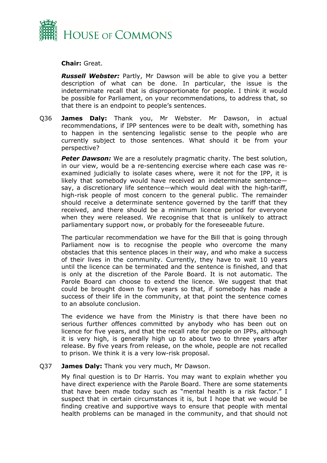

# **Chair:** Great.

*Russell Webster:* Partly, Mr Dawson will be able to give you a better description of what can be done. In particular, the issue is the indeterminate recall that is disproportionate for people. I think it would be possible for Parliament, on your recommendations, to address that, so that there is an endpoint to people's sentences.

Q36 **James Daly:** Thank you, Mr Webster. Mr Dawson, in actual recommendations, if IPP sentences were to be dealt with, something has to happen in the sentencing legalistic sense to the people who are currently subject to those sentences. What should it be from your perspective?

**Peter Dawson:** We are a resolutely pragmatic charity. The best solution, in our view, would be a re-sentencing exercise where each case was reexamined judicially to isolate cases where, were it not for the IPP, it is likely that somebody would have received an indeterminate sentence say, a discretionary life sentence—which would deal with the high-tariff, high-risk people of most concern to the general public. The remainder should receive a determinate sentence governed by the tariff that they received, and there should be a minimum licence period for everyone when they were released. We recognise that that is unlikely to attract parliamentary support now, or probably for the foreseeable future.

The particular recommendation we have for the Bill that is going through Parliament now is to recognise the people who overcome the many obstacles that this sentence places in their way, and who make a success of their lives in the community. Currently, they have to wait 10 years until the licence can be terminated and the sentence is finished, and that is only at the discretion of the Parole Board. It is not automatic. The Parole Board can choose to extend the licence. We suggest that that could be brought down to five years so that, if somebody has made a success of their life in the community, at that point the sentence comes to an absolute conclusion.

The evidence we have from the Ministry is that there have been no serious further offences committed by anybody who has been out on licence for five years, and that the recall rate for people on IPPs, although it is very high, is generally high up to about two to three years after release. By five years from release, on the whole, people are not recalled to prison. We think it is a very low-risk proposal.

#### Q37 **James Daly:** Thank you very much, Mr Dawson.

My final question is to Dr Harris. You may want to explain whether you have direct experience with the Parole Board. There are some statements that have been made today such as "mental health is a risk factor." I suspect that in certain circumstances it is, but I hope that we would be finding creative and supportive ways to ensure that people with mental health problems can be managed in the community, and that should not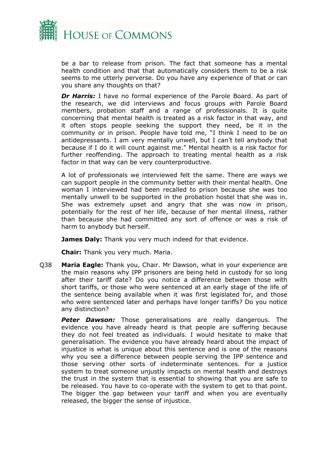

be a bar to release from prison. The fact that someone has a mental health condition and that that automatically considers them to be a risk seems to me utterly perverse. Do you have any experience of that or can you share any thoughts on that?

*Dr Harris:* I have no formal experience of the Parole Board. As part of the research, we did interviews and focus groups with Parole Board members, probation staff and a range of professionals. It is quite concerning that mental health is treated as a risk factor in that way, and it often stops people seeking the support they need, be it in the community or in prison. People have told me, "I think I need to be on antidepressants. I am very mentally unwell, but I can't tell anybody that because if I do it will count against me." Mental health is a risk factor for further reoffending. The approach to treating mental health as a risk factor in that way can be very counterproductive.

A lot of professionals we interviewed felt the same. There are ways we can support people in the community better with their mental health. One woman I interviewed had been recalled to prison because she was too mentally unwell to be supported in the probation hostel that she was in. She was extremely upset and angry that she was now in prison, potentially for the rest of her life, because of her mental illness, rather than because she had committed any sort of offence or was a risk of harm to anybody but herself.

**James Daly:** Thank you very much indeed for that evidence.

**Chair:** Thank you very much. Maria.

Q38 **Maria Eagle:** Thank you, Chair. Mr Dawson, what in your experience are the main reasons why IPP prisoners are being held in custody for so long after their tariff date? Do you notice a difference between those with short tariffs, or those who were sentenced at an early stage of the life of the sentence being available when it was first legislated for, and those who were sentenced later and perhaps have longer tariffs? Do you notice any distinction?

**Peter Dawson:** Those generalisations are really dangerous. The evidence you have already heard is that people are suffering because they do not feel treated as individuals. I would hesitate to make that generalisation. The evidence you have already heard about the impact of injustice is what is unique about this sentence and is one of the reasons why you see a difference between people serving the IPP sentence and those serving other sorts of indeterminate sentences. For a justice system to treat someone unjustly impacts on mental health and destroys the trust in the system that is essential to showing that you are safe to be released. You have to co-operate with the system to get to that point. The bigger the gap between your tariff and when you are eventually released, the bigger the sense of injustice.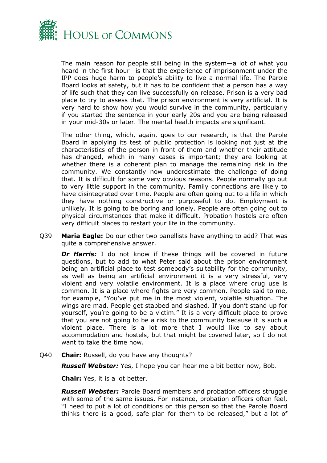

The main reason for people still being in the system—a lot of what you heard in the first hour—is that the experience of imprisonment under the IPP does huge harm to people's ability to live a normal life. The Parole Board looks at safety, but it has to be confident that a person has a way of life such that they can live successfully on release. Prison is a very bad place to try to assess that. The prison environment is very artificial. It is very hard to show how you would survive in the community, particularly if you started the sentence in your early 20s and you are being released in your mid-30s or later. The mental health impacts are significant.

The other thing, which, again, goes to our research, is that the Parole Board in applying its test of public protection is looking not just at the characteristics of the person in front of them and whether their attitude has changed, which in many cases is important; they are looking at whether there is a coherent plan to manage the remaining risk in the community. We constantly now underestimate the challenge of doing that. It is difficult for some very obvious reasons. People normally go out to very little support in the community. Family connections are likely to have disintegrated over time. People are often going out to a life in which they have nothing constructive or purposeful to do. Employment is unlikely. It is going to be boring and lonely. People are often going out to physical circumstances that make it difficult. Probation hostels are often very difficult places to restart your life in the community.

Q39 **Maria Eagle:** Do our other two panellists have anything to add? That was quite a comprehensive answer.

*Dr Harris:* I do not know if these things will be covered in future questions, but to add to what Peter said about the prison environment being an artificial place to test somebody's suitability for the community, as well as being an artificial environment it is a very stressful, very violent and very volatile environment. It is a place where drug use is common. It is a place where fights are very common. People said to me, for example, "You've put me in the most violent, volatile situation. The wings are mad. People get stabbed and slashed. If you don't stand up for yourself, you're going to be a victim." It is a very difficult place to prove that you are not going to be a risk to the community because it is such a violent place. There is a lot more that I would like to say about accommodation and hostels, but that might be covered later, so I do not want to take the time now.

Q40 **Chair:** Russell, do you have any thoughts?

*Russell Webster:* Yes, I hope you can hear me a bit better now, Bob.

**Chair:** Yes, it is a lot better.

*Russell Webster:* Parole Board members and probation officers struggle with some of the same issues. For instance, probation officers often feel, "I need to put a lot of conditions on this person so that the Parole Board thinks there is a good, safe plan for them to be released," but a lot of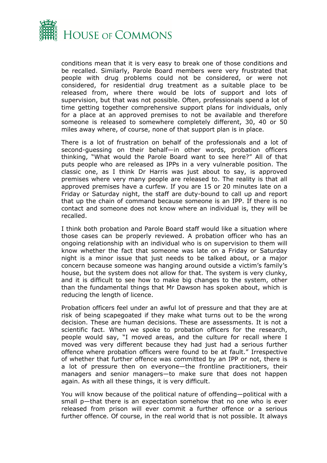

conditions mean that it is very easy to break one of those conditions and be recalled. Similarly, Parole Board members were very frustrated that people with drug problems could not be considered, or were not considered, for residential drug treatment as a suitable place to be released from, where there would be lots of support and lots of supervision, but that was not possible. Often, professionals spend a lot of time getting together comprehensive support plans for individuals, only for a place at an approved premises to not be available and therefore someone is released to somewhere completely different, 30, 40 or 50 miles away where, of course, none of that support plan is in place.

There is a lot of frustration on behalf of the professionals and a lot of second-guessing on their behalf—in other words, probation officers thinking, "What would the Parole Board want to see here?" All of that puts people who are released as IPPs in a very vulnerable position. The classic one, as I think Dr Harris was just about to say, is approved premises where very many people are released to. The reality is that all approved premises have a curfew. If you are 15 or 20 minutes late on a Friday or Saturday night, the staff are duty-bound to call up and report that up the chain of command because someone is an IPP. If there is no contact and someone does not know where an individual is, they will be recalled.

I think both probation and Parole Board staff would like a situation where those cases can be properly reviewed. A probation officer who has an ongoing relationship with an individual who is on supervision to them will know whether the fact that someone was late on a Friday or Saturday night is a minor issue that just needs to be talked about, or a major concern because someone was hanging around outside a victim's family's house, but the system does not allow for that. The system is very clunky, and it is difficult to see how to make big changes to the system, other than the fundamental things that Mr Dawson has spoken about, which is reducing the length of licence.

Probation officers feel under an awful lot of pressure and that they are at risk of being scapegoated if they make what turns out to be the wrong decision. These are human decisions. These are assessments. It is not a scientific fact. When we spoke to probation officers for the research, people would say, "I moved areas, and the culture for recall where I moved was very different because they had just had a serious further offence where probation officers were found to be at fault." Irrespective of whether that further offence was committed by an IPP or not, there is a lot of pressure then on everyone—the frontline practitioners, their managers and senior managers—to make sure that does not happen again. As with all these things, it is very difficult.

You will know because of the political nature of offending—political with a small p—that there is an expectation somehow that no one who is ever released from prison will ever commit a further offence or a serious further offence. Of course, in the real world that is not possible. It always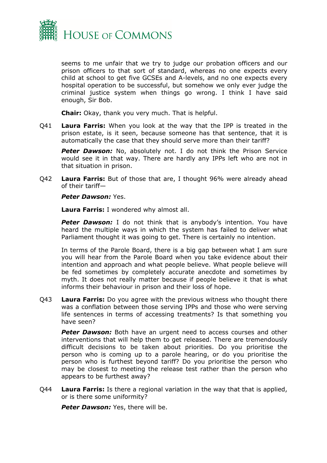

seems to me unfair that we try to judge our probation officers and our prison officers to that sort of standard, whereas no one expects every child at school to get five GCSEs and A-levels, and no one expects every hospital operation to be successful, but somehow we only ever judge the criminal justice system when things go wrong. I think I have said enough, Sir Bob.

**Chair:** Okay, thank you very much. That is helpful.

Q41 **Laura Farris:** When you look at the way that the IPP is treated in the prison estate, is it seen, because someone has that sentence, that it is automatically the case that they should serve more than their tariff?

**Peter Dawson:** No, absolutely not. I do not think the Prison Service would see it in that way. There are hardly any IPPs left who are not in that situation in prison.

Q42 **Laura Farris:** But of those that are, I thought 96% were already ahead of their tariff—

#### *Peter Dawson:* Yes.

**Laura Farris:** I wondered why almost all.

**Peter Dawson:** I do not think that is anybody's intention. You have heard the multiple ways in which the system has failed to deliver what Parliament thought it was going to get. There is certainly no intention.

In terms of the Parole Board, there is a big gap between what I am sure you will hear from the Parole Board when you take evidence about their intention and approach and what people believe. What people believe will be fed sometimes by completely accurate anecdote and sometimes by myth. It does not really matter because if people believe it that is what informs their behaviour in prison and their loss of hope.

Q43 **Laura Farris:** Do you agree with the previous witness who thought there was a conflation between those serving IPPs and those who were serving life sentences in terms of accessing treatments? Is that something you have seen?

**Peter Dawson:** Both have an urgent need to access courses and other interventions that will help them to get released. There are tremendously difficult decisions to be taken about priorities. Do you prioritise the person who is coming up to a parole hearing, or do you prioritise the person who is furthest beyond tariff? Do you prioritise the person who may be closest to meeting the release test rather than the person who appears to be furthest away?

Q44 **Laura Farris:** Is there a regional variation in the way that that is applied, or is there some uniformity?

**Peter Dawson:** Yes, there will be.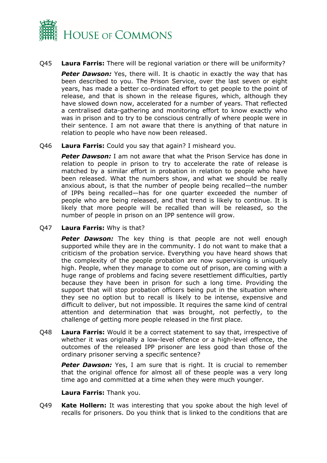

# Q45 **Laura Farris:** There will be regional variation or there will be uniformity?

**Peter Dawson:** Yes, there will. It is chaotic in exactly the way that has been described to you. The Prison Service, over the last seven or eight years, has made a better co-ordinated effort to get people to the point of release, and that is shown in the release figures, which, although they have slowed down now, accelerated for a number of years. That reflected a centralised data-gathering and monitoring effort to know exactly who was in prison and to try to be conscious centrally of where people were in their sentence. I am not aware that there is anything of that nature in relation to people who have now been released.

# Q46 **Laura Farris:** Could you say that again? I misheard you.

*Peter Dawson:* I am not aware that what the Prison Service has done in relation to people in prison to try to accelerate the rate of release is matched by a similar effort in probation in relation to people who have been released. What the numbers show, and what we should be really anxious about, is that the number of people being recalled—the number of IPPs being recalled—has for one quarter exceeded the number of people who are being released, and that trend is likely to continue. It is likely that more people will be recalled than will be released, so the number of people in prison on an IPP sentence will grow.

# Q47 **Laura Farris:** Why is that?

*Peter Dawson:* The key thing is that people are not well enough supported while they are in the community. I do not want to make that a criticism of the probation service. Everything you have heard shows that the complexity of the people probation are now supervising is uniquely high. People, when they manage to come out of prison, are coming with a huge range of problems and facing severe resettlement difficulties, partly because they have been in prison for such a long time. Providing the support that will stop probation officers being put in the situation where they see no option but to recall is likely to be intense, expensive and difficult to deliver, but not impossible. It requires the same kind of central attention and determination that was brought, not perfectly, to the challenge of getting more people released in the first place.

Q48 **Laura Farris:** Would it be a correct statement to say that, irrespective of whether it was originally a low-level offence or a high-level offence, the outcomes of the released IPP prisoner are less good than those of the ordinary prisoner serving a specific sentence?

**Peter Dawson:** Yes, I am sure that is right. It is crucial to remember that the original offence for almost all of these people was a very long time ago and committed at a time when they were much younger.

#### **Laura Farris:** Thank you.

Q49 **Kate Hollern:** It was interesting that you spoke about the high level of recalls for prisoners. Do you think that is linked to the conditions that are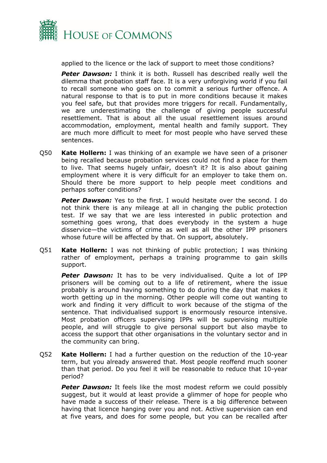

applied to the licence or the lack of support to meet those conditions?

*Peter Dawson:* I think it is both. Russell has described really well the dilemma that probation staff face. It is a very unforgiving world if you fail to recall someone who goes on to commit a serious further offence. A natural response to that is to put in more conditions because it makes you feel safe, but that provides more triggers for recall. Fundamentally, we are underestimating the challenge of giving people successful resettlement. That is about all the usual resettlement issues around accommodation, employment, mental health and family support. They are much more difficult to meet for most people who have served these sentences.

Q50 **Kate Hollern:** I was thinking of an example we have seen of a prisoner being recalled because probation services could not find a place for them to live. That seems hugely unfair, doesn't it? It is also about gaining employment where it is very difficult for an employer to take them on. Should there be more support to help people meet conditions and perhaps softer conditions?

*Peter Dawson:* Yes to the first. I would hesitate over the second. I do not think there is any mileage at all in changing the public protection test. If we say that we are less interested in public protection and something goes wrong, that does everybody in the system a huge disservice—the victims of crime as well as all the other IPP prisoners whose future will be affected by that. On support, absolutely.

Q51 **Kate Hollern:** I was not thinking of public protection; I was thinking rather of employment, perhaps a training programme to gain skills support.

**Peter Dawson:** It has to be very individualised. Quite a lot of IPP prisoners will be coming out to a life of retirement, where the issue probably is around having something to do during the day that makes it worth getting up in the morning. Other people will come out wanting to work and finding it very difficult to work because of the stigma of the sentence. That individualised support is enormously resource intensive. Most probation officers supervising IPPs will be supervising multiple people, and will struggle to give personal support but also maybe to access the support that other organisations in the voluntary sector and in the community can bring.

Q52 **Kate Hollern:** I had a further question on the reduction of the 10-year term, but you already answered that. Most people reoffend much sooner than that period. Do you feel it will be reasonable to reduce that 10-year period?

**Peter Dawson:** It feels like the most modest reform we could possibly suggest, but it would at least provide a glimmer of hope for people who have made a success of their release. There is a big difference between having that licence hanging over you and not. Active supervision can end at five years, and does for some people, but you can be recalled after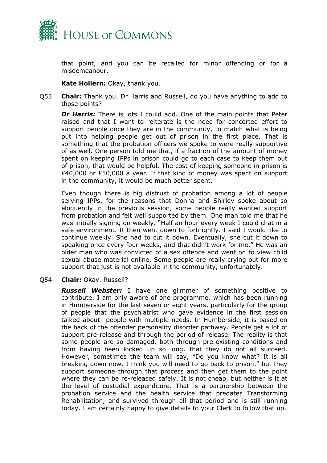

that point, and you can be recalled for minor offending or for a misdemeanour.

**Kate Hollern:** Okay, thank you.

Q53 **Chair:** Thank you. Dr Harris and Russell, do you have anything to add to those points?

*Dr Harris:* There is lots I could add. One of the main points that Peter raised and that I want to reiterate is the need for concerted effort to support people once they are in the community, to match what is being put into helping people get out of prison in the first place. That is something that the probation officers we spoke to were really supportive of as well. One person told me that, if a fraction of the amount of money spent on keeping IPPs in prison could go to each case to keep them out of prison, that would be helpful. The cost of keeping someone in prison is £40,000 or £50,000 a year. If that kind of money was spent on support in the community, it would be much better spent.

Even though there is big distrust of probation among a lot of people serving IPPs, for the reasons that Donna and Shirley spoke about so eloquently in the previous session, some people really wanted support from probation and felt well supported by them. One man told me that he was initially signing on weekly. "Half an hour every week I could chat in a safe environment. It then went down to fortnightly. I said I would like to continue weekly. She had to cut it down. Eventually, she cut it down to speaking once every four weeks, and that didn't work for me." He was an older man who was convicted of a sex offence and went on to view child sexual abuse material online. Some people are really crying out for more support that just is not available in the community, unfortunately.

#### Q54 **Chair:** Okay. Russell?

*Russell Webster:* I have one glimmer of something positive to contribute. I am only aware of one programme, which has been running in Humberside for the last seven or eight years, particularly for the group of people that the psychiatrist who gave evidence in the first session talked about—people with multiple needs. In Humberside, it is based on the back of the offender personality disorder pathway. People get a lot of support pre-release and through the period of release. The reality is that some people are so damaged, both through pre-existing conditions and from having been locked up so long, that they do not all succeed. However, sometimes the team will say, "Do you know what? It is all breaking down now. I think you will need to go back to prison," but they support someone through that process and then get them to the point where they can be re-released safely. It is not cheap, but neither is it at the level of custodial expenditure. That is a partnership between the probation service and the health service that predates Transforming Rehabilitation, and survived through all that period and is still running today. I am certainly happy to give details to your Clerk to follow that up.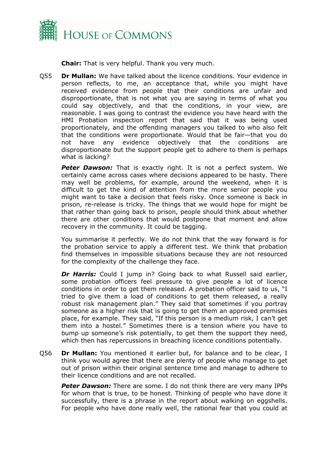

**Chair:** That is very helpful. Thank you very much.

Q55 **Dr Mullan:** We have talked about the licence conditions. Your evidence in person reflects, to me, an acceptance that, while you might have received evidence from people that their conditions are unfair and disproportionate, that is not what you are saying in terms of what you could say objectively, and that the conditions, in your view, are reasonable. I was going to contrast the evidence you have heard with the HMI Probation inspection report that said that it was being used proportionately, and the offending managers you talked to who also felt that the conditions were proportionate. Would that be fair—that you do not have any evidence objectively that the conditions are disproportionate but the support people get to adhere to them is perhaps what is lacking?

**Peter Dawson:** That is exactly right. It is not a perfect system. We certainly came across cases where decisions appeared to be hasty. There may well be problems, for example, around the weekend, when it is difficult to get the kind of attention from the more senior people you might want to take a decision that feels risky. Once someone is back in prison, re-release is tricky. The things that we would hope for might be that rather than going back to prison, people should think about whether there are other conditions that would postpone that moment and allow recovery in the community. It could be tagging.

You summarise it perfectly. We do not think that the way forward is for the probation service to apply a different test. We think that probation find themselves in impossible situations because they are not resourced for the complexity of the challenge they face.

*Dr Harris:* Could I jump in? Going back to what Russell said earlier, some probation officers feel pressure to give people a lot of licence conditions in order to get them released. A probation officer said to us, "I tried to give them a load of conditions to get them released, a really robust risk management plan." They said that sometimes if you portray someone as a higher risk that is going to get them an approved premises place, for example. They said, "If this person is a medium risk, I can't get them into a hostel." Sometimes there is a tension where you have to bump up someone's risk potentially, to get them the support they need, which then has repercussions in breaching licence conditions potentially.

Q56 **Dr Mullan:** You mentioned it earlier but, for balance and to be clear, I think you would agree that there are plenty of people who manage to get out of prison within their original sentence time and manage to adhere to their licence conditions and are not recalled.

*Peter Dawson:* There are some. I do not think there are very many IPPs for whom that is true, to be honest. Thinking of people who have done it successfully, there is a phrase in the report about walking on eggshells. For people who have done really well, the rational fear that you could at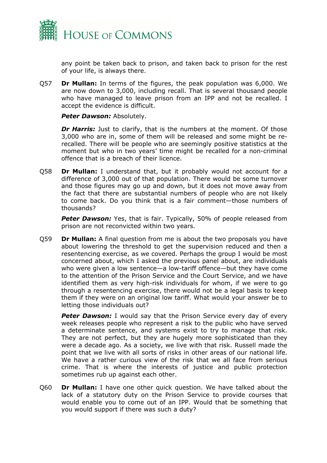

any point be taken back to prison, and taken back to prison for the rest of your life, is always there.

Q57 **Dr Mullan:** In terms of the figures, the peak population was 6,000. We are now down to 3,000, including recall. That is several thousand people who have managed to leave prison from an IPP and not be recalled. I accept the evidence is difficult.

*Peter Dawson:* Absolutely.

**Dr Harris:** Just to clarify, that is the numbers at the moment. Of those 3,000 who are in, some of them will be released and some might be rerecalled. There will be people who are seemingly positive statistics at the moment but who in two years' time might be recalled for a non-criminal offence that is a breach of their licence.

Q58 **Dr Mullan:** I understand that, but it probably would not account for a difference of 3,000 out of that population. There would be some turnover and those figures may go up and down, but it does not move away from the fact that there are substantial numbers of people who are not likely to come back. Do you think that is a fair comment—those numbers of thousands?

**Peter Dawson:** Yes, that is fair. Typically, 50% of people released from prison are not reconvicted within two years.

Q59 **Dr Mullan:** A final question from me is about the two proposals you have about lowering the threshold to get the supervision reduced and then a resentencing exercise, as we covered. Perhaps the group I would be most concerned about, which I asked the previous panel about, are individuals who were given a low sentence—a low-tariff offence—but they have come to the attention of the Prison Service and the Court Service, and we have identified them as very high-risk individuals for whom, if we were to go through a resentencing exercise, there would not be a legal basis to keep them if they were on an original low tariff. What would your answer be to letting those individuals out?

**Peter Dawson:** I would say that the Prison Service every day of every week releases people who represent a risk to the public who have served a determinate sentence, and systems exist to try to manage that risk. They are not perfect, but they are hugely more sophisticated than they were a decade ago. As a society, we live with that risk. Russell made the point that we live with all sorts of risks in other areas of our national life. We have a rather curious view of the risk that we all face from serious crime. That is where the interests of justice and public protection sometimes rub up against each other.

Q60 **Dr Mullan:** I have one other quick question. We have talked about the lack of a statutory duty on the Prison Service to provide courses that would enable you to come out of an IPP. Would that be something that you would support if there was such a duty?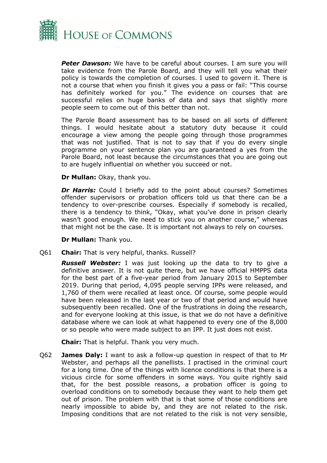

*Peter Dawson:* We have to be careful about courses. I am sure you will take evidence from the Parole Board, and they will tell you what their policy is towards the completion of courses. I used to govern it. There is not a course that when you finish it gives you a pass or fail: "This course has definitely worked for you." The evidence on courses that are successful relies on huge banks of data and says that slightly more people seem to come out of this better than not.

The Parole Board assessment has to be based on all sorts of different things. I would hesitate about a statutory duty because it could encourage a view among the people going through those programmes that was not justified. That is not to say that if you do every single programme on your sentence plan you are guaranteed a yes from the Parole Board, not least because the circumstances that you are going out to are hugely influential on whether you succeed or not.

**Dr Mullan:** Okay, thank you.

**Dr Harris:** Could I briefly add to the point about courses? Sometimes offender supervisors or probation officers told us that there can be a tendency to over-prescribe courses. Especially if somebody is recalled, there is a tendency to think, "Okay, what you've done in prison clearly wasn't good enough. We need to stick you on another course," whereas that might not be the case. It is important not always to rely on courses.

**Dr Mullan:** Thank you.

Q61 **Chair:** That is very helpful, thanks. Russell?

**Russell Webster:** I was just looking up the data to try to give a definitive answer. It is not quite there, but we have official HMPPS data for the best part of a five-year period from January 2015 to September 2019. During that period, 4,095 people serving IPPs were released, and 1,760 of them were recalled at least once. Of course, some people would have been released in the last year or two of that period and would have subsequently been recalled. One of the frustrations in doing the research, and for everyone looking at this issue, is that we do not have a definitive database where we can look at what happened to every one of the 8,000 or so people who were made subject to an IPP. It just does not exist.

**Chair:** That is helpful. Thank you very much.

Q62 **James Daly:** I want to ask a follow-up question in respect of that to Mr Webster, and perhaps all the panellists. I practised in the criminal court for a long time. One of the things with licence conditions is that there is a vicious circle for some offenders in some ways. You quite rightly said that, for the best possible reasons, a probation officer is going to overload conditions on to somebody because they want to help them get out of prison. The problem with that is that some of those conditions are nearly impossible to abide by, and they are not related to the risk. Imposing conditions that are not related to the risk is not very sensible,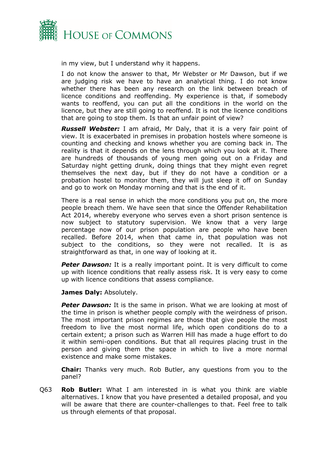

in my view, but I understand why it happens.

I do not know the answer to that, Mr Webster or Mr Dawson, but if we are judging risk we have to have an analytical thing. I do not know whether there has been any research on the link between breach of licence conditions and reoffending. My experience is that, if somebody wants to reoffend, you can put all the conditions in the world on the licence, but they are still going to reoffend. It is not the licence conditions that are going to stop them. Is that an unfair point of view?

*Russell Webster:* I am afraid, Mr Daly, that it is a very fair point of view. It is exacerbated in premises in probation hostels where someone is counting and checking and knows whether you are coming back in. The reality is that it depends on the lens through which you look at it. There are hundreds of thousands of young men going out on a Friday and Saturday night getting drunk, doing things that they might even regret themselves the next day, but if they do not have a condition or a probation hostel to monitor them, they will just sleep it off on Sunday and go to work on Monday morning and that is the end of it.

There is a real sense in which the more conditions you put on, the more people breach them. We have seen that since the Offender Rehabilitation Act 2014, whereby everyone who serves even a short prison sentence is now subject to statutory supervision. We know that a very large percentage now of our prison population are people who have been recalled. Before 2014, when that came in, that population was not subject to the conditions, so they were not recalled. It is as straightforward as that, in one way of looking at it.

**Peter Dawson:** It is a really important point. It is very difficult to come up with licence conditions that really assess risk. It is very easy to come up with licence conditions that assess compliance.

**James Daly:** Absolutely.

*Peter Dawson:* It is the same in prison. What we are looking at most of the time in prison is whether people comply with the weirdness of prison. The most important prison regimes are those that give people the most freedom to live the most normal life, which open conditions do to a certain extent; a prison such as Warren Hill has made a huge effort to do it within semi-open conditions. But that all requires placing trust in the person and giving them the space in which to live a more normal existence and make some mistakes.

**Chair:** Thanks very much. Rob Butler, any questions from you to the panel?

Q63 **Rob Butler:** What I am interested in is what you think are viable alternatives. I know that you have presented a detailed proposal, and you will be aware that there are counter-challenges to that. Feel free to talk us through elements of that proposal.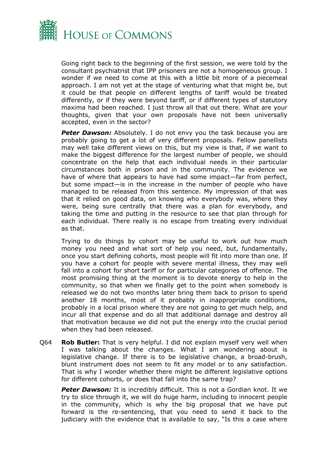

Going right back to the beginning of the first session, we were told by the consultant psychiatrist that IPP prisoners are not a homogeneous group. I wonder if we need to come at this with a little bit more of a piecemeal approach. I am not yet at the stage of venturing what that might be, but it could be that people on different lengths of tariff would be treated differently, or if they were beyond tariff, or if different types of statutory maxima had been reached. I just throw all that out there. What are your thoughts, given that your own proposals have not been universally accepted, even in the sector?

**Peter Dawson:** Absolutely. I do not envy you the task because you are probably going to get a lot of very different proposals. Fellow panellists may well take different views on this, but my view is that, if we want to make the biggest difference for the largest number of people, we should concentrate on the help that each individual needs in their particular circumstances both in prison and in the community. The evidence we have of where that appears to have had some impact—far from perfect, but some impact—is in the increase in the number of people who have managed to be released from this sentence. My impression of that was that it relied on good data, on knowing who everybody was, where they were, being sure centrally that there was a plan for everybody, and taking the time and putting in the resource to see that plan through for each individual. There really is no escape from treating every individual as that.

Trying to do things by cohort may be useful to work out how much money you need and what sort of help you need, but, fundamentally, once you start defining cohorts, most people will fit into more than one. If you have a cohort for people with severe mental illness, they may well fall into a cohort for short tariff or for particular categories of offence. The most promising thing at the moment is to devote energy to help in the community, so that when we finally get to the point when somebody is released we do not two months later bring them back to prison to spend another 18 months, most of it probably in inappropriate conditions, probably in a local prison where they are not going to get much help, and incur all that expense and do all that additional damage and destroy all that motivation because we did not put the energy into the crucial period when they had been released.

Q64 **Rob Butler:** That is very helpful. I did not explain myself very well when I was talking about the changes. What I am wondering about is legislative change. If there is to be legislative change, a broad-brush, blunt instrument does not seem to fit any model or to any satisfaction. That is why I wonder whether there might be different legislative options for different cohorts, or does that fall into the same trap?

**Peter Dawson:** It is incredibly difficult. This is not a Gordian knot. It we try to slice through it, we will do huge harm, including to innocent people in the community, which is why the big proposal that we have put forward is the re-sentencing, that you need to send it back to the judiciary with the evidence that is available to say, "Is this a case where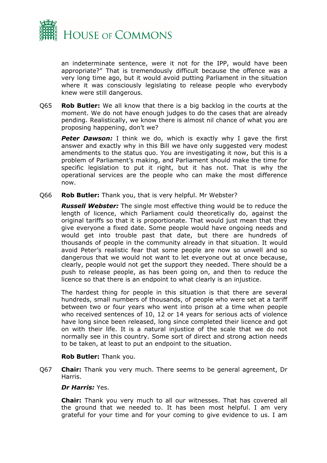

an indeterminate sentence, were it not for the IPP, would have been appropriate?" That is tremendously difficult because the offence was a very long time ago, but it would avoid putting Parliament in the situation where it was consciously legislating to release people who everybody knew were still dangerous.

Q65 **Rob Butler:** We all know that there is a big backlog in the courts at the moment. We do not have enough judges to do the cases that are already pending. Realistically, we know there is almost nil chance of what you are proposing happening, don't we?

**Peter Dawson:** I think we do, which is exactly why I gave the first answer and exactly why in this Bill we have only suggested very modest amendments to the status quo. You are investigating it now, but this is a problem of Parliament's making, and Parliament should make the time for specific legislation to put it right, but it has not. That is why the operational services are the people who can make the most difference now.

#### Q66 **Rob Butler:** Thank you, that is very helpful. Mr Webster?

*Russell Webster:* The single most effective thing would be to reduce the length of licence, which Parliament could theoretically do, against the original tariffs so that it is proportionate. That would just mean that they give everyone a fixed date. Some people would have ongoing needs and would get into trouble past that date, but there are hundreds of thousands of people in the community already in that situation. It would avoid Peter's realistic fear that some people are now so unwell and so dangerous that we would not want to let everyone out at once because, clearly, people would not get the support they needed. There should be a push to release people, as has been going on, and then to reduce the licence so that there is an endpoint to what clearly is an injustice.

The hardest thing for people in this situation is that there are several hundreds, small numbers of thousands, of people who were set at a tariff between two or four years who went into prison at a time when people who received sentences of 10, 12 or 14 years for serious acts of violence have long since been released, long since completed their licence and got on with their life. It is a natural injustice of the scale that we do not normally see in this country. Some sort of direct and strong action needs to be taken, at least to put an endpoint to the situation.

#### **Rob Butler:** Thank you.

Q67 **Chair:** Thank you very much. There seems to be general agreement, Dr Harris.

#### *Dr Harris:* Yes.

**Chair:** Thank you very much to all our witnesses. That has covered all the ground that we needed to. It has been most helpful. I am very grateful for your time and for your coming to give evidence to us. I am